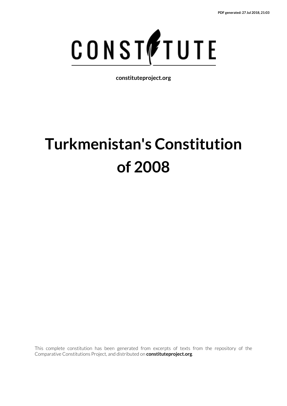

**constituteproject.org**

# **Turkmenistan's Constitution of 2008**

This complete constitution has been generated from excerpts of texts from the repository of the Comparative Constitutions Project, and distributed on **constituteproject.org**.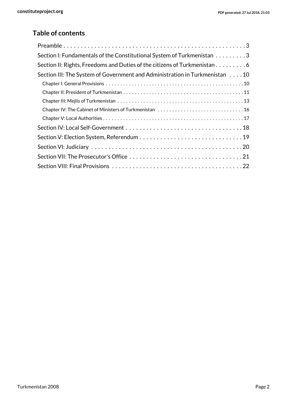## **Table of contents**

| Section I: Fundamentals of the Constitutional System of Turkmenistan 3      |
|-----------------------------------------------------------------------------|
| Section II: Rights, Freedoms and Duties of the citizens of Turkmenistan 6   |
| Section III: The System of Government and Administration in Turkmenistan 10 |
|                                                                             |
|                                                                             |
|                                                                             |
|                                                                             |
|                                                                             |
|                                                                             |
|                                                                             |
|                                                                             |
|                                                                             |
|                                                                             |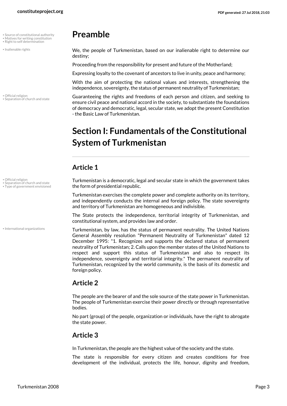- • Source of constitutional authority
- Right to self determination
- <span id="page-2-2"></span>• Inalienable rights
- 

• Official religion • Separation of church and state

## <span id="page-2-8"></span><span id="page-2-4"></span><span id="page-2-0"></span>**Preamble**

<span id="page-2-6"></span>We, the people of Turkmenistan, based on our inalienable right to determine our destiny;

Proceeding from the responsibility for present and future of the Motherland;

Expressing loyalty to the covenant of ancestors to live in unity, peace and harmony;

With the aim of protecting the national values and interests, strengthening the independence, sovereignty, the status of permanent neutrality of Turkmenistan;

Guaranteeing the rights and freedoms of each person and citizen, and seeking to ensure civil peace and national accord in the society, to substantiate the foundations of democracy and democratic, legal, secular state, we adopt the present Constitution - the Basic Law of Turkmenistan.

## <span id="page-2-1"></span>**Section I: Fundamentals of the Constitutional System of Turkmenistan**

## **Article 1**

<span id="page-2-9"></span><span id="page-2-7"></span>Turkmenistan is a democratic, legal and secular state in which the government takes the form of presidential republic.

Turkmenistan exercises the complete power and complete authority on its territory, and independently conducts the internal and foreign policy. The state sovereignty and territory of Turkmenistan are homogeneous and indivisible.

The State protects the independence, territorial integrity of Turkmenistan, and constitutional system, and provides law and order.

<span id="page-2-3"></span>Turkmenistan, by law, has the status of permanent neutrality. The United Nations General Assembly resolution "Permanent Neutrality of Turkmenistan" dated 12 December 1995: "1. Recognizes and supports the declared status of permanent neutrality of Turkmenistan; 2. Calls upon the member states of the United Nations to respect and support this status of Turkmenistan and also to respect its independence, sovereignty and territorial integrity." The permanent neutrality of Turkmenistan, recognized by the world community, is the basis of its domestic and foreign policy.

## **Article 2**

The people are the bearer of and the sole source of the state power in Turkmenistan. The people of Turkmenistan exercise their power directly or through representative bodies.

No part (group) of the people, organization or individuals, have the right to abrogate the state power.

## **Article 3**

In Turkmenistan, the people are the highest value of the society and the state.

The state is responsible for every citizen and creates conditions for free development of the individual, protects the life, honour, dignity and freedom,

<span id="page-2-5"></span>• Official religion

• Separation of church and state • Type of government envisioned

• International organizations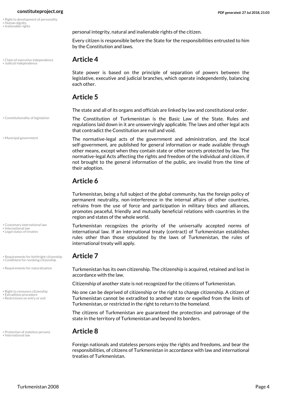- Right to development of personality
- <span id="page-3-6"></span><span id="page-3-5"></span>• Human dignity • Inalienable rights

<span id="page-3-15"></span>personal integrity, natural and inalienable rights of the citizen.

Every citizen is responsible before the State for the responsibilities entrusted to him by the Constitution and laws.

## <span id="page-3-8"></span>• Claim of executive independence **Article 4** • Judicial independence

<span id="page-3-0"></span>State power is based on the principle of separation of powers between the legislative, executive and judicial branches, which operate independently, balancing each other.

### **Article 5**

The state and all of its organs and officials are linked by law and constitutional order.

<span id="page-3-10"></span><span id="page-3-2"></span>The Constitution of Turkmenistan is the Basic Law of the State. Rules and regulations laid down in it are unswervingly applicable. The laws and other legal acts that contradict the Constitution are null and void.

• Municipal government

• Constitutionality of legislation

The normative-legal acts of the government and administration, and the local self-government, are published for general information or made available through other means, except when they contain state or other secrets protected by law. The normative-legal Acts affecting the rights and freedom of the individual and citizen, if not brought to the general information of the public, are invalid from the time of their adoption.

## **Article 6**

Turkmenistan, being a full subject of the global community, has the foreign policy of permanent neutrality, non-interference in the internal affairs of other countries, refrains from the use of force and participation in military blocs and alliances, promotes peaceful, friendly and mutually beneficial relations with countries in the region and states of the whole world.

<span id="page-3-9"></span><span id="page-3-3"></span>Turkmenistan recognizes the priority of the universally accepted norms of international law. If an international treaty (contract) of Turkmenistan establishes rules other than those stipulated by the laws of Turkmenistan, the rules of international treaty will apply.

<span id="page-3-13"></span><span id="page-3-12"></span><span id="page-3-1"></span>Turkmenistan has its own citizenship. The citizenship is acquired, retained and lost in accordance with the law.

Citizenship of another state is not recognized for the citizens of Turkmenistan.

<span id="page-3-16"></span><span id="page-3-14"></span><span id="page-3-4"></span>No one can be deprived of citizenship or the right to change citizenship. A citizen of Turkmenistan cannot be extradited to another state or expelled from the limits of Turkmenistan, or restricted in the right to return to the homeland.

The citizens of Turkmenistan are guaranteed the protection and patronage of the state in the territory of Turkmenistan and beyond its borders.

## <span id="page-3-7"></span>• Protection of stateless persons **Article 8** • International law

<span id="page-3-11"></span>Foreign nationals and stateless persons enjoy the rights and freedoms, and bear the responsibilities, of citizens of Turkmenistan in accordance with law and international treaties of Turkmenistan.

• Customary international law

- International law • Legal status of treaties
- 

• Requirements for birthright citizenship **Article 7** • Conditions for revoking citizenship

• Requirements for naturalization

• Right to renounce citizenship • Extradition procedure

• Restrictions on entry or exit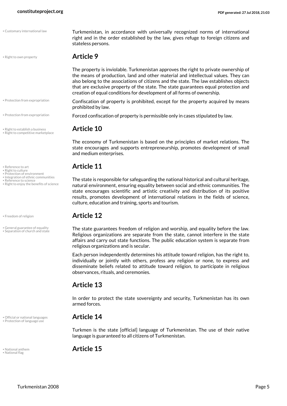<span id="page-4-16"></span>

- 
- Protection from expropriation
- 
- Right to establish a business **Article 10** Right to competitive marketplace
- <span id="page-4-10"></span>
- <span id="page-4-13"></span>
- Protection of environment
- <span id="page-4-11"></span>• Integration of ethnic communities
- Reference to science • Right to enjoy the benefits of science

<span id="page-4-1"></span>

• General guarantee of equality • Separation of church and state

• Official or national languages **Article 14** • Protection of language use

<span id="page-4-5"></span><span id="page-4-4"></span>

## • Right to own property **Article 9**

<span id="page-4-0"></span>The property is inviolable. Turkmenistan approves the right to private ownership of the means of production, land and other material and intellectual values. They can also belong to the associations of citizens and the state. The law establishes objects that are exclusive property of the state. The state guarantees equal protection and creation of equal conditions for development of all forms of ownership.

- <span id="page-4-7"></span>Confiscation of property is prohibited, except for the property acquired by means prohibited by law.
- Protection from expropriation **Forced confiscation of property is permissible only in cases stipulated by law.**

<span id="page-4-15"></span><span id="page-4-12"></span>The economy of Turkmenistan is based on the principles of market relations. The state encourages and supports entrepreneurship, promotes development of small and medium enterprises.

## • Reference to art **Article 11** • Right to culture

<span id="page-4-14"></span><span id="page-4-8"></span><span id="page-4-3"></span>The state is responsible for safeguarding the national historical and cultural heritage, natural environment, ensuring equality between social and ethnic communities. The state encourages scientific and artistic creativity and distribution of its positive results, promotes development of international relations in the fields of science, culture, education and training, sports and tourism.

## • Freedom of religion **Article 12**

<span id="page-4-17"></span><span id="page-4-2"></span>The state guarantees freedom of religion and worship, and equality before the law. Religious organizations are separate from the state, cannot interfere in the state affairs and carry out state functions. The public education system is separate from religious organizations and is secular.

Each person independently determines his attitude toward religion, has the right to, individually or jointly with others, profess any religion or none, to express and disseminate beliefs related to attitude toward religion, to participate in religious observances, rituals, and ceremonies.

## **Article 13**

In order to protect the state sovereignty and security, Turkmenistan has its own armed forces.

<span id="page-4-9"></span><span id="page-4-6"></span>Turkmen is the state [official] language of Turkmenistan. The use of their native language is guaranteed to all citizens of Turkmenistan.

• National anthem **Article 15** • National flag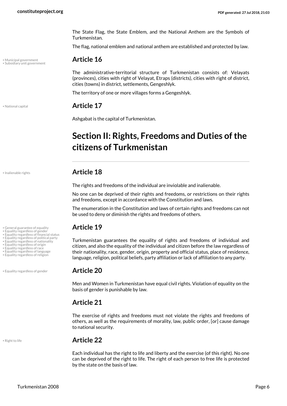The State Flag, the State Emblem, and the National Anthem are the Symbols of Turkmenistan.

The flag, national emblem and national anthem are established and protected by law.

## <span id="page-5-11"></span>• Municipal government **Article 16** • Subsidiary unit government

<span id="page-5-14"></span>The administrative-territorial structure of Turkmenistan consists of: Velayats (provinces), cities with right of Velayat, Etraps (districts), cities with right of district, cities (towns) in district, settlements, Gengeshlyk.

The territory of one or more villages forms a Gengeshlyk.

<span id="page-5-12"></span>• National capital **Article 17**

Ashgabat is the capital of Turkmenistan.

## <span id="page-5-0"></span>**Section II: Rights, Freedoms and Duties of the citizens of Turkmenistan**

## <span id="page-5-10"></span>• Inalienable rights **Article 18**

The rights and freedoms of the individual are inviolable and inalienable.

No one can be deprived of their rights and freedoms, or restrictions on their rights and freedoms, except in accordance with the Constitution and laws.

The enumeration in the Constitution and laws of certain rights and freedoms can not be used to deny or diminish the rights and freedoms of others.

<span id="page-5-9"></span><span id="page-5-8"></span><span id="page-5-7"></span><span id="page-5-6"></span><span id="page-5-5"></span><span id="page-5-4"></span><span id="page-5-3"></span><span id="page-5-1"></span>Turkmenistan guarantees the equality of rights and freedoms of individual and citizen, and also the equality of the individual and citizen before the law regardless of their nationality, race, gender, origin, property and official status, place of residence, language, religion, political beliefs, party affiliation or lack of affiliation to any party.

<span id="page-5-2"></span>Men and Women in Turkmenistan have equal civil rights. Violation of equality on the basis of gender is punishable by law.

## **Article 21**

The exercise of rights and freedoms must not violate the rights and freedoms of others, as well as the requirements of morality, law, public order, [or] cause damage to national security.

<span id="page-5-13"></span>

## • Right to life **Article 22**

Each individual has the right to life and liberty and the exercise (of this right). No one can be deprived of the right to life. The right of each person to free life is protected by the state on the basis of law.

- General guarantee of equality **Article 19** Equality regardless of gender Equality regardless of financial status
- 
- Equality regardless of political party
- Equality regardless of nationality Equality regardless of origin
- 
- Equality regardless of race Equality regardless of language • Equality regardless of religion

• Equality regardless of gender **Article 20**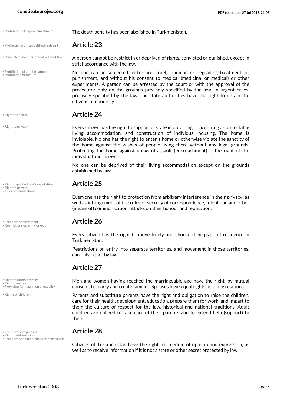• Protection from unjustified restraint **Article 23**

• Principle of no punishment without law

<span id="page-6-6"></span>• Prohibition of cruel treatment • Prohibition of torture

<span id="page-6-15"></span>

• Right to privacy

• Right to protect one's reputation **Article 25** • Right to privacy

<span id="page-6-17"></span><span id="page-6-13"></span>• Telecommunications

<span id="page-6-1"></span>• Freedom of movement **Article 26** • Restrictions on entry or exit

• Right to found a family

<span id="page-6-12"></span>• Right to marry

• Provision for matrimonial equality

<span id="page-6-16"></span>• Rights of children

<span id="page-6-11"></span><span id="page-6-0"></span>• Freedom of expression **Article 28** • Right to information • Freedom of opinion/thought/conscience

• Prohibition of capital punishment **The death penalty has been abolished in Turkmenistan.** 

<span id="page-6-7"></span><span id="page-6-4"></span><span id="page-6-3"></span>A person cannot be restrict in or deprived of rights, convicted or punished, except in strict accordance with the law.

<span id="page-6-5"></span>No one can be subjected to torture, cruel, inhuman or degrading treatment, or punishment, and without his consent to medical (medicinal or medical) or other experiments. A person can be arrested by the court or with the approval of the prosecutor only on the grounds precisely specified by the law. In urgent cases, precisely specified by the law, the state authorities have the right to detain the citizens temporarily.

## • Right to shelter **Article 24**

Every citizen has the right to support of state in obtaining or acquiring a comfortable living accommodation, and construction of individual housing. The home is inviolable. No one has the right to enter a home or otherwise violate the sanctity of the home against the wishes of people living there without any legal grounds. Protecting the home against unlawful assault (encroachment) is the right of the individual and citizen.

No one can be deprived of their living accommodation except on the grounds established by law.

<span id="page-6-14"></span>Everyone has the right to protection from arbitrary interference in their privacy, as well as infringement of the rules of secrecy of correspondence, telephone and other (means of) communication, attacks on their honour and reputation.

<span id="page-6-9"></span>Every citizen has the right to move freely and choose their place of residence in Turkmenistan.

Restrictions on entry into separate territories, and movement in those territories, can only be set by law.

## **Article 27**

<span id="page-6-10"></span><span id="page-6-8"></span>Men and women having reached the marriageable age have the right, by mutual consent, to marry and create families. Spouses have equal rights in family relations.

Parents and substitute parents have the right and obligation to raise the children, care for their health, development, education, prepare them for work, and impart to them the culture of respect for the law, historical and national traditions. Adult children are obliged to take care of their parents and to extend help (support) to them.

<span id="page-6-2"></span>Citizens of Turkmenistan have the right to freedom of opinion and expression, as well as to receive information if it is not a state or other secret protected by law.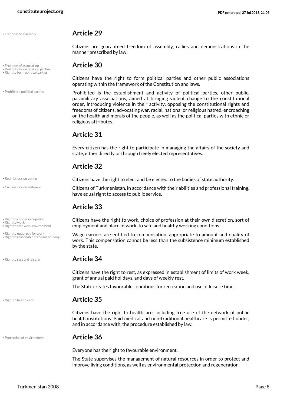<span id="page-7-1"></span>• Freedom of assembly **Article 29**

• Right to form political parties

• Prohibited political parties

<span id="page-7-6"></span>

• Civil service recruitment

• Right to choose occupation

- <span id="page-7-14"></span>• Right to work • Right to safe work environment
- Right to equal pay for work Right to reasonable standard of living

• Right to rest and leisure **Article 34**

<span id="page-7-10"></span>• Right to health care **Article 35**

Citizens have the right to healthcare, including free use of the network of public health institutions. Paid medical and non-traditional healthcare is permitted under, and in accordance with, the procedure established by law.

### • Protection of environment **Article 36**

<span id="page-7-4"></span>Everyone has the right to favourable environment.

grant of annual paid holidays, and days of weekly rest.

The State supervises the management of natural resources in order to protect and improve living conditions, as well as environmental protection and regeneration.

Citizens are guaranteed freedom of assembly, rallies and demonstrations in the manner prescribed by law.

## • Freedom of association **Article 30** • Restrictions on political parties

<span id="page-7-5"></span>Citizens have the right to form political parties and other public associations operating within the framework of the Constitution and laws.

<span id="page-7-9"></span><span id="page-7-3"></span><span id="page-7-2"></span>Prohibited is the establishment and activity of political parties, other public, paramilitary associations, aimed at bringing violent change to the constitutional order, introducing violence in their activity, opposing the constitutional rights and freedoms of citizens, advocating war, racial, national or religious hatred, encroaching on the health and morals of the people, as well as the political parties with ethnic or religious attributes.

## **Article 31**

Every citizen has the right to participate in managing the affairs of the society and state, either directly or through freely elected representatives.

## **Article 32**

**• Restrictions on voting conting that Citizens have the right to elect and be elected to the bodies of state authority.** 

<span id="page-7-0"></span>Citizens of Turkmenistan, in accordance with their abilities and professional training, have equal right to access to public service.

## **Article 33**

<span id="page-7-13"></span><span id="page-7-7"></span>Citizens have the right to work, choice of profession at their own discretion, sort of employment and place of work, to safe and healthy working conditions.

<span id="page-7-11"></span><span id="page-7-8"></span>Wage earners are entitled to compensation, appropriate to amount and quality of work. This compensation cannot be less than the subsistence minimum established by the state.

<span id="page-7-12"></span>Citizens have the right to rest, as expressed in establishment of limits of work week,

The State creates favourable conditions for recreation and use of leisure time.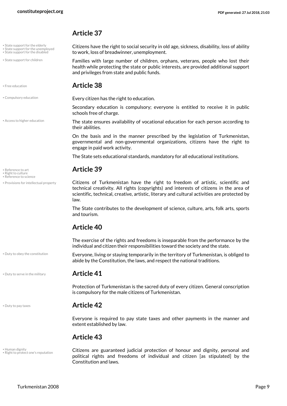- State support for the elderly
- **State support for the unemployed** • State support for the disabled
- State support for children

<span id="page-8-5"></span>

<span id="page-8-1"></span>

• Access to higher education

- <span id="page-8-10"></span><span id="page-8-9"></span><span id="page-8-8"></span>
- Reference to science
- Provisions for intellectual property

• Duty to obey the constitution

<span id="page-8-15"></span><span id="page-8-14"></span><span id="page-8-13"></span>Citizens have the right to social security in old age, sickness, disability, loss of ability to work, loss of breadwinner, unemployment.

<span id="page-8-12"></span>Families with large number of children, orphans, veterans, people who lost their health while protecting the state or public interests, are provided additional support and privileges from state and public funds.

### • Free education **Article 38**

• Compulsory education **Every citizen has the right to education.** 

Secondary education is compulsory; everyone is entitled to receive it in public schools free of charge.

<span id="page-8-0"></span>The state ensures availability of vocational education for each person according to their abilities.

On the basis and in the manner prescribed by the legislation of Turkmenistan, governmental and non-governmental organizations, citizens have the right to engage in paid work activity.

The State sets educational standards, mandatory for all educational institutions.

## • Reference to art **Article 39**

<span id="page-8-7"></span>Citizens of Turkmenistan have the right to freedom of artistic, scientific and technical creativity. All rights (copyrights) and interests of citizens in the area of scientific, technical, creative, artistic, literary and cultural activities are protected by law.

The State contributes to the development of science, culture, arts, folk arts, sports and tourism.

## **Article 40**

The exercise of the rights and freedoms is inseparable from the performance by the individual and citizen their responsibilities toward the society and the state.

<span id="page-8-4"></span><span id="page-8-2"></span>Everyone, living or staying temporarily in the territory of Turkmenistan, is obliged to abide by the Constitution, the laws, and respect the national traditions.

### • Duty to serve in the military **Article 41**

Protection of Turkmenistan is the sacred duty of every citizen. General conscription is compulsory for the male citizens of Turkmenistan.

### <span id="page-8-3"></span>• Duty to pay taxes **Article 42**

Everyone is required to pay state taxes and other payments in the manner and extent established by law.

## **Article 43**

<span id="page-8-6"></span>• Human dignity • Right to protect one's reputation <span id="page-8-11"></span>Citizens are guaranteed judicial protection of honour and dignity, personal and political rights and freedoms of individual and citizen [as stipulated] by the Constitution and laws.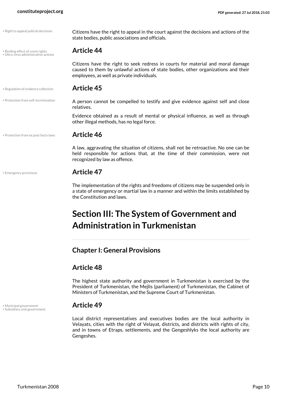• Right to appeal judicial decisions

• Binding effect of const rights **Article 44** • Ultra-vires administrative actions

<span id="page-9-8"></span>Citizens have the right to appeal in the court against the decisions and actions of the state bodies, public associations and officials.

<span id="page-9-10"></span><span id="page-9-2"></span>Citizens have the right to seek redress in courts for material and moral damage caused to them by unlawful actions of state bodies, other organizations and their employees, as well as private individuals.

<span id="page-9-7"></span><span id="page-9-6"></span>A person cannot be compelled to testify and give evidence against self and close

Evidence obtained as a result of mental or physical influence, as well as through

• Regulation of evidence collection **Article 45**

• Protection from self-incrimination

• Protection from ex post facto laws **Article 46**

<span id="page-9-3"></span>

relatives.

<span id="page-9-5"></span>A law, aggravating the situation of citizens, shall not be retroactive. No one can be held responsible for actions that, at the time of their commission, were not recognized by law as offence.

### • Emergency provisions **Article 47**

The implementation of the rights and freedoms of citizens may be suspended only in a state of emergency or martial law in a manner and within the limits established by the Constitution and laws.

## <span id="page-9-0"></span>**Section III: The System of Government and Administration in Turkmenistan**

## <span id="page-9-1"></span>**Chapter I: General Provisions**

other illegal methods, has no legal force.

## **Article 48**

The highest state authority and government in Turkmenistan is exercised by the President of Turkmenistan, the Mejlis (parliament) of Turkmenistan, the Cabinet of Ministers of Turkmenistan, and the Supreme Court of Turkmenistan.

<span id="page-9-9"></span><span id="page-9-4"></span>

Local district representatives and executives bodies are the local authority in Velayats, cities with the right of Velayat, districts, and districts with rights of city, and in towns of Etraps, settlements, and the Gengeshlyks the local authority are Gengeshes.

• Municipal government **Article 49** • Subsidiary unit government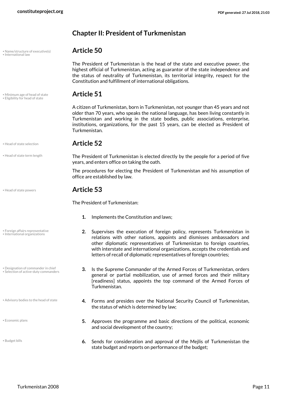<span id="page-10-10"></span>• Name/structure of executive(s) **Article 50** • International law

<span id="page-10-0"></span>**Chapter II: President of Turkmenistan**

<span id="page-10-13"></span>The President of Turkmenistan is the head of the state and executive power, the highest official of Turkmenistan, acting as guarantor of the state independence and the status of neutrality of Turkmenistan, its territorial integrity, respect for the Constitution and fulfillment of international obligations.

## • Minimum age of head of state **Article 51** • Eligibility for head of state

<span id="page-10-12"></span><span id="page-10-5"></span>A citizen of Turkmenistan, born in Turkmenistan, not younger than 45 years and not older than 70 years, who speaks the national language, has been living constantly in Turkmenistan and working in the state bodies, public associations, enterprise, institutions, organizations, for the past 15 years, can be elected as President of Turkmenistan.

### • Head of state selection **Article 52**

<span id="page-10-9"></span><span id="page-10-8"></span>The President of Turkmenistan is elected directly by the people for a period of five years, and enters office on taking the oath.

The procedures for electing the President of Turkmenistan and his assumption of office are established by law.

### <span id="page-10-7"></span>• Head of state powers **Article 53**

The President of Turkmenistan:

- **1.** Implements the Constitution and laws;
- <span id="page-10-14"></span><span id="page-10-11"></span><span id="page-10-6"></span><span id="page-10-3"></span>**2.** Supervises the execution of foreign policy, represents Turkmenistan in relations with other nations, appoints and dismisses ambassadors and other diplomatic representatives of Turkmenistan to foreign countries, with interstate and international organizations, accepts the credentials and letters of recall of diplomatic representatives of foreign countries;
	- **3.** Is the Supreme Commander of the Armed Forces of Turkmenistan, orders general or partial mobilization, use of armed forces and their military [readiness] status, appoints the top command of the Armed Forces of Turkmenistan.
	- **4.** Forms and presides over the National Security Council of Turkmenistan, the status of which is determined by law;
	- **5.** Approves the programme and basic directions of the political, economic and social development of the country;
	- **6.** Sends for consideration and approval of the Mejlis of Turkmenistan the state budget and reports on performance of the budget;

• Foreign affairs representative • International organizations

• Head of state term length

• Designation of commander in chief • Selection of active-duty commanders

<span id="page-10-1"></span>• Advisory bodies to the head of state

<span id="page-10-4"></span>• Economic plans

<span id="page-10-2"></span>• Budget bills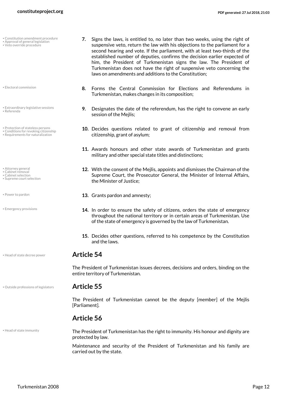- Constitution amendment procedure
- <span id="page-11-17"></span>• Approval of general legislation • Veto override procedure
- <span id="page-11-6"></span>• Electoral commission
- <span id="page-11-14"></span>• Extraordinary legislative sessions • Referenda
- Protection of stateless persons
- Conditions for revoking citizenship • Requirements for naturalization
- <span id="page-11-2"></span><span id="page-11-1"></span>
- Attorney general Cabinet removal
- Cabinet selection • Supreme court selection
- <span id="page-11-16"></span><span id="page-11-3"></span>
- <span id="page-11-12"></span>
- <span id="page-11-7"></span>• Emergency provisions
- Head of state decree power **Article 54**

• Outside professions of legislators **Article 55**

entire territory of Turkmenistan.

<span id="page-11-11"></span>The President of Turkmenistan cannot be the deputy [member] of the Mejlis [Parliament].

<span id="page-11-9"></span>The President of Turkmenistan issues decrees, decisions and orders, binding on the

## **Article 56**

• Head of state immunity

<span id="page-11-10"></span>The President of Turkmenistan has the right to immunity. His honour and dignity are protected by law.

Maintenance and security of the President of Turkmenistan and his family are carried out by the state.

- <span id="page-11-5"></span><span id="page-11-0"></span>**7.** Signs the laws, is entitled to, no later than two weeks, using the right of suspensive veto, return the law with his objections to the parliament for a second hearing and vote. If the parliament, with at least two-thirds of the established number of deputies, confirms the decision earlier expected of him, the President of Turkmenistan signs the law. The President of Turkmenistan does not have the right of suspensive veto concerning the laws on amendments and additions to the Constitution;
- **8.** Forms the Central Commission for Elections and Referendums in Turkmenistan, makes changes in its composition;
- <span id="page-11-8"></span>**9.** Designates the date of the referendum, has the right to convene an early session of the Mejlis;
- <span id="page-11-15"></span><span id="page-11-13"></span><span id="page-11-4"></span>**10.** Decides questions related to grant of citizenship and removal from citizenship, grant of asylum;
- **11.** Awards honours and other state awards of Turkmenistan and grants military and other special state titles and distinctions;
- **12.** With the consent of the Mejlis, appoints and dismisses the Chairman of the Supreme Court, the Prosecutor General, the Minister of Internal Affairs, the Minister of Justice;
- Power to pardon **and amnesty; 13. Grants pardon and amnesty;** 
	- **14.** In order to ensure the safety of citizens, orders the state of emergency throughout the national territory or in certain areas of Turkmenistan. Use of the state of emergency is governed by the law of Turkmenistan.
	- **15.** Decides other questions, referred to his competence by the Constitution and the laws.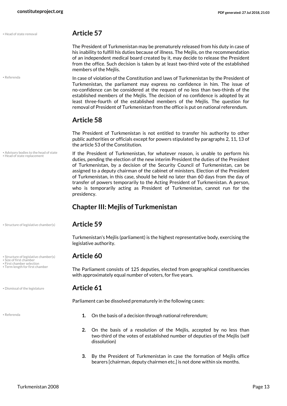• Referenda

• Advisory bodies to the head of state • Head of state replacement

• Structure of legislative chamber(s) **Article 59**

• Structure of legislative chamber(s) **Article 60** • Size of first chamber

<span id="page-12-7"></span>

• First chamber selection<br>• Term length for first chamber

• Dismissal of the legislature **Article 61**

## <span id="page-12-4"></span>• Head of state removal **Article 57**

The President of Turkmenistan may be prematurely released from his duty in case of his inability to fulfill his duties because of illness. The Mejlis, on the recommendation of an independent medical board created by it, may decide to release the President from the office. Such decision is taken by at least two-third vote of the established members of the Mejlis.

In case of violation of the Constitution and laws of Turkmenistan by the President of Turkmenistan, the parliament may express no confidence in him. The issue of no-confidence can be considered at the request of no less than two-thirds of the established members of the Mejlis. The decision of no confidence is adopted by at least three-fourth of the established members of the Mejlis. The question for removal of President of Turkmenistan from the office is put on national referendum.

## **Article 58**

The President of Turkmenistan is not entitled to transfer his authority to other public authorities or officials except for powers stipulated by paragraphs 2, 11, 13 of the article 53 of the Constitution.

<span id="page-12-5"></span><span id="page-12-1"></span>If the President of Turkmenistan, for whatever reason, is unable to perform his duties, pending the election of the new interim President the duties of the President of Turkmenistan, by a decision of the Security Council of Turkmenistan, can be assigned to a deputy chairman of the cabinet of ministers. Election of the President of Turkmenistan, in this case, should be held no later than 60 days from the day of transfer of powers temporarily to the Acting President of Turkmenistan. A person, who is temporarily acting as President of Turkmenistan, cannot run for the presidency.

## <span id="page-12-0"></span>**Chapter III: Mejlis of Turkmenistan**

Turkmenistan's Mejlis (parliament) is the highest representative body, exercising the legislative authority.

<span id="page-12-9"></span><span id="page-12-8"></span><span id="page-12-3"></span>The Parliament consists of 125 deputies, elected from geographical constituencies with approximately equal number of voters, for five years.

<span id="page-12-2"></span>Parliament can be dissolved prematurely in the following cases:

- <span id="page-12-6"></span>**1.** On the basis of a decision through national referendum;
	- **2.** On the basis of a resolution of the Mejlis, accepted by no less than two-third of the votes of established number of deputies of the Mejlis (self dissolution)
	- **3.** By the President of Turkmenistan in case the formation of Mejlis office bearers [chairman, deputy chairmen etc.] is not done within six months.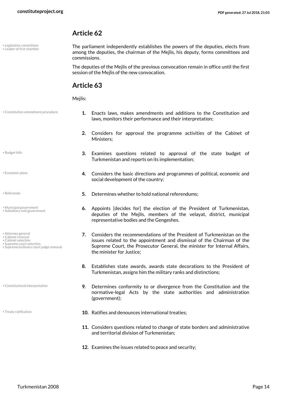• Legislative committees • Leader of first chamber <span id="page-13-8"></span><span id="page-13-7"></span>The parliament independently establishes the powers of the deputies, elects from among the deputies, the chairman of the Mejlis, his deputy, forms committees and commissions.

The deputies of the Mejlis of the previous convocation remain in office until the first session of the Mejlis of the new convocation.

## **Article 63**

<span id="page-13-4"></span>Meilis:

• Constitution amendment procedure

<span id="page-13-1"></span>• Budget bills

<span id="page-13-6"></span>• Economic plans

<span id="page-13-11"></span><span id="page-13-9"></span>• Municipal government • Subsidiary unit government

<span id="page-13-3"></span><span id="page-13-2"></span><span id="page-13-0"></span>• Attorney general • Cabinet removal • Cabinet selection • Supreme court selection

<span id="page-13-13"></span><span id="page-13-12"></span>• Supreme/ordinary court judge removal

<span id="page-13-5"></span>• Constitutional interpretation

- **1.** Enacts laws, makes amendments and additions to the Constitution and laws, monitors their performance and their interpretation;
- **2.** Considers for approval the programme activities of the Cabinet of Ministers;
- **3.** Examines questions related to approval of the state budget of Turkmenistan and reports on its implementation;
- **4.** Considers the basic directions and programmes of political, economic and social development of the country;
- <span id="page-13-10"></span>**Experienda 19. In the set of the September of the Set of the Set of the Set of the Set of Set of Set of The Set of The Set of Networks;** 
	- **6.** Appoints [decides for] the election of the President of Turkmenistan, deputies of the Mejlis, members of the velayat, district, municipal representative bodies and the Gengeshes.
	- **7.** Considers the recommendations of the President of Turkmenistan on the issues related to the appointment and dismissal of the Chairman of the Supreme Court, the Prosecutor General, the minister for Internal Affairs, the minister for Justice;
	- **8.** Establishes state awards, awards state decorations to the President of Turkmenistan, assigns him the military ranks and distinctions;
	- **9.** Determines conformity to or divergence from the Constitution and the normative-legal Acts by the state authorities and administration (government);
- <span id="page-13-14"></span>**10.** Ratifies and denounces international treaties; **10.** Ratifies and denounces international treaties;
	- **11.** Considers questions related to change of state borders and administrative and territorial division of Turkmenistan;
	- **12.** Examines the issues related to peace and security;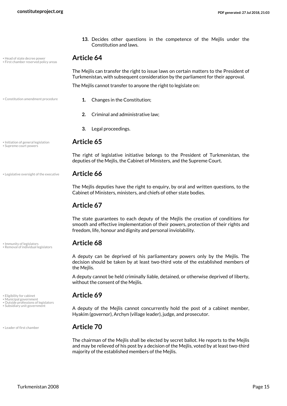**13.** Decides other questions in the competence of the Mejlis under the Constitution and laws.

## • Head of state decree power **Article 64** • First chamber reserved policy areas

<span id="page-14-3"></span><span id="page-14-2"></span>The Mejlis can transfer the right to issue laws on certain matters to the President of Turkmenistan, with subsequent consideration by the parliament for their approval.

<span id="page-14-0"></span>The Mejlis cannot transfer to anyone the right to legislate on:

- Constitution amendment procedure **1.** Changes in the Constitution:
	- **2.** Criminal and administrative law;
	- **3.** Legal proceedings.

## • Initiation of general legislation **Article 65** • Supreme court powers

<span id="page-14-12"></span><span id="page-14-5"></span>The right of legislative initiative belongs to the President of Turkmenistan, the deputies of the Mejlis, the Cabinet of Ministers, and the Supreme Court.

### • Legislative oversight of the executive **Article 66**

<span id="page-14-7"></span>The Mejlis deputies have the right to enquiry, by oral and written questions, to the Cabinet of Ministers, ministers, and chiefs of other state bodies.

## **Article 67**

The state guarantees to each deputy of the Mejlis the creation of conditions for smooth and effective implementation of their powers, protection of their rights and freedom, life, honour and dignity and personal inviolability.

## <span id="page-14-4"></span>• Immunity of legislators **Article 68** • Removal of individual legislators

<span id="page-14-10"></span>A deputy can be deprived of his parliamentary powers only by the Mejlis. The decision should be taken by at least two-third vote of the established members of the Mejlis.

A deputy cannot be held criminally liable, detained, or otherwise deprived of liberty, without the consent of the Mejlis.

## • Eligibility for cabinet **Article 69** • Municipal government

<span id="page-14-11"></span><span id="page-14-9"></span>A deputy of the Mejlis cannot concurrently hold the post of a cabinet member, Hyakim (governor), Archyn (village leader), judge, and prosecutor.

<span id="page-14-6"></span>The chairman of the Mejlis shall be elected by secret ballot. He reports to the Mejlis and may be relieved of his post by a decision of the Mejlis, voted by at least two-third majority of the established members of the Mejlis.

<span id="page-14-8"></span><span id="page-14-1"></span>

- 
- Outside professions of legislators<br>• Subsidiary unit government

• Leader of first chamber **Article 70**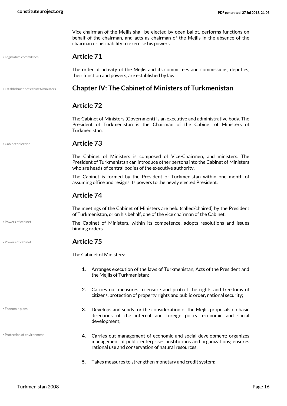Vice chairman of the Mejlis shall be elected by open ballot, performs functions on behalf of the chairman, and acts as chairman of the Mejlis in the absence of the chairman or his inability to exercise his powers.

• Legislative committees **Article 71**

<span id="page-15-4"></span><span id="page-15-0"></span>The order of activity of the Mejlis and its committees and commissions, deputies, their function and powers, are established by law.

## • Establishment of cabinet/ministers **Chapter IV: The Cabinet of Ministers of Turkmenistan**

## <span id="page-15-3"></span>**Article 72**

The Cabinet of Ministers (Government) is an executive and administrative body. The President of Turkmenistan is the Chairman of the Cabinet of Ministers of Turkmenistan.

• Powers of cabinet

<span id="page-15-2"></span>• Economic plans

• Protection of environment

<span id="page-15-1"></span>• Cabinet selection **Article 73**

The Cabinet of Ministers is composed of Vice-Chairmen, and ministers. The President of Turkmenistan can introduce other persons into the Cabinet of Ministers who are heads of central bodies of the executive authority.

The Cabinet is formed by the President of Turkmenistan within one month of assuming office and resigns its powers to the newly elected President.

### **Article 74**

The meetings of the Cabinet of Ministers are held (called/chaired) by the President of Turkmenistan, or on his behalf, one of the vice chairman of the Cabinet.

The Cabinet of Ministers, within its competence, adopts resolutions and issues binding orders.

## <span id="page-15-5"></span>• Powers of cabinet **Article 75**

The Cabinet of Ministers:

- **1.** Arranges execution of the laws of Turkmenistan, Acts of the President and the Mejlis of Turkmenistan;
- **2.** Carries out measures to ensure and protect the rights and freedoms of citizens, protection of property rights and public order, national security;
- **3.** Develops and sends for the consideration of the Mejlis proposals on basic directions of the internal and foreign policy, economic and social development;
- <span id="page-15-6"></span>**4.** Carries out management of economic and social development; organizes management of public enterprises, institutions and organizations; ensures rational use and conservation of natural resources;
- **5.** Takes measures to strengthen monetary and credit system;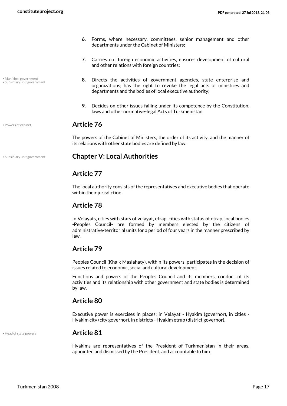<span id="page-16-2"></span>• Municipal government • Subsidiary unit government

- **6.** Forms, where necessary, committees, senior management and other departments under the Cabinet of Ministers;
- **7.** Carries out foreign economic activities, ensures development of cultural and other relations with foreign countries;
- **8.** Directs the activities of government agencies, state enterprise and organizations; has the right to revoke the legal acts of ministries and departments and the bodies of local executive authority;
- **9.** Decides on other issues falling under its competence by the Constitution, laws and other normative-legal Acts of Turkmenistan.

## <span id="page-16-3"></span>• Powers of cabinet **Article 76**

<span id="page-16-0"></span>The powers of the Cabinet of Ministers, the order of its activity, and the manner of its relations with other state bodies are defined by law.

## • Subsidiary unit government **Chapter V: Local Authorities**

## <span id="page-16-4"></span>**Article 77**

The local authority consists of the representatives and executive bodies that operate within their jurisdiction.

## **Article 78**

In Velayats, cities with stats of velayat, etrap, cities with status of etrap, local bodies -Peoples Council- are formed by members elected by the citizens of administrative-territorial units for a period of four years in the manner prescribed by law.

## **Article 79**

Peoples Council (Khalk Maslahaty), within its powers, participates in the decision of issues related to economic, social and cultural development.

Functions and powers of the Peoples Council and its members, conduct of its activities and its relationship with other government and state bodies is determined by law.

## **Article 80**

Executive power is exercises in places: in Velayat - Hyakim (governor), in cities - Hyakim city (city governor), in districts - Hyakim etrap (district governor).

<span id="page-16-1"></span>• Head of state powers **Article 81**

Hyakims are representatives of the President of Turkmenistan in their areas, appointed and dismissed by the President, and accountable to him.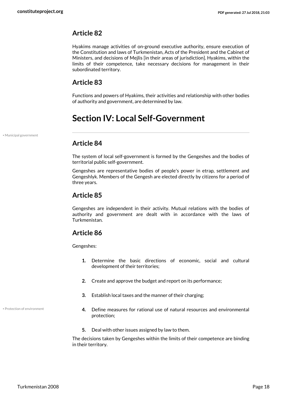Hyakims manage activities of on-ground executive authority, ensure execution of the Constitution and laws of Turkmenistan, Acts of the President and the Cabinet of Ministers, and decisions of Mejlis [in their areas of jurisdiction]. Hyakims, within the limits of their competence, take necessary decisions for management in their subordinated territory.

## **Article 83**

Functions and powers of Hyakims, their activities and relationship with other bodies of authority and government, are determined by law.

## <span id="page-17-0"></span>**Section IV: Local Self-Government**

• Municipal government

## <span id="page-17-1"></span>**Article 84**

The system of local self-government is formed by the Gengeshes and the bodies of territorial public self-government.

Gengeshes are representative bodies of people's power in etrap, settlement and Gengeshlyk. Members of the Gengesh are elected directly by citizens for a period of three years.

## **Article 85**

Gengeshes are independent in their activity. Mutual relations with the bodies of authority and government are dealt with in accordance with the laws of Turkmenistan.

## **Article 86**

Gengeshes:

- **1.** Determine the basic directions of economic, social and cultural development of their territories;
- **2.** Create and approve the budget and report on its performance;
- **3.** Establish local taxes and the manner of their charging;
- <span id="page-17-2"></span>**4.** Define measures for rational use of natural resources and environmental protection;
- **5.** Deal with other issues assigned by law to them.

The decisions taken by Gengeshes within the limits of their competence are binding in their territory.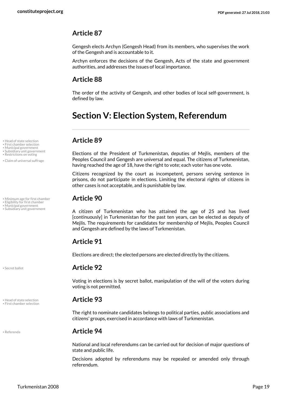Gengesh elects Archyn (Gengesh Head) from its members, who supervises the work of the Gengesh and is accountable to it.

Archyn enforces the decisions of the Gengesh, Acts of the state and government authorities, and addresses the issues of local importance.

## **Article 88**

The order of the activity of Gengesh, and other bodies of local self-government, is defined by law.

## <span id="page-18-0"></span>**Section V: Election System, Referendum**

<span id="page-18-1"></span>Elections of the President of Turkmenistan, deputies of Mejlis, members of the Peoples Council and Gengesh are universal and equal. The citizens of Turkmenistan, having reached the age of 18, have the right to vote; each voter has one vote.

Citizens recognized by the court as incompetent, persons serving sentence in prisons, do not participate in elections. Limiting the electoral rights of citizens in other cases is not acceptable, and is punishable by law.

<span id="page-18-10"></span><span id="page-18-5"></span><span id="page-18-2"></span>A citizen of Turkmenistan who has attained the age of 25 and has lived [continuously] in Turkmenistan for the past ten years, can be elected as deputy of Mejlis. The requirements for candidates for membership of Mejlis, Peoples Council and Gengesh are defined by the laws of Turkmenistan.

## **Article 91**

Elections are direct; the elected persons are elected directly by the citizens.

## • Secret ballot **Article 92**

Voting in elections is by secret ballot, manipulation of the will of the voters during voting is not permitted.

<span id="page-18-3"></span>The right to nominate candidates belongs to political parties, public associations and citizens' groups, exercised in accordance with laws of Turkmenistan.

### • Referenda **Article 94**

National and local referendums can be carried out for decision of major questions of state and public life.

Decisions adopted by referendums may be repealed or amended only through referendum.

• Head of state selection **Article 89** • First chamber selection

- Municipal government
- <span id="page-18-8"></span>
- Subsidiary unit government<br>• Restrictions on voting

• Claim of universal suffrage

• Minimum age for first chamber **Article 90** 

<span id="page-18-6"></span>

• Eligibility for first chamber<br>• Municipal government<br>• Subsidiary unit government

<span id="page-18-9"></span>

<span id="page-18-4"></span>• Head of state selection **Article 93** • First chamber selection

<span id="page-18-7"></span>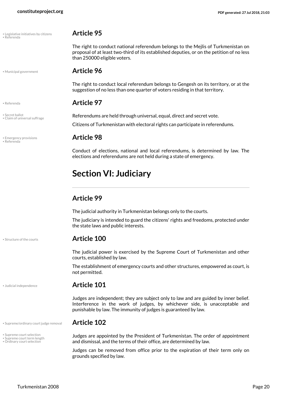| • Legislative initiatives by citizens |  |
|---------------------------------------|--|
| • Referenda                           |  |

### <span id="page-19-4"></span>• Legislative initiatives by citizens **Article 95** • Referenda

The right to conduct national referendum belongs to the Mejlis of Turkmenistan on proposal of at least two-third of its established deputies, or on the petition of no less than 250000 eligible voters.

<span id="page-19-5"></span>

<span id="page-19-1"></span>• Claim of universal suffrage

### • Municipal government **Article 96**

The right to conduct local referendum belongs to Gengesh on its territory, or at the suggestion of no less than one quarter of voters residing in that territory.

### • Referenda **Article 97**

<span id="page-19-8"></span>• Secret ballot **Contract of the Referendums are held through universal, equal, direct and secret vote.** Citizens of Turkmenistan with electoral rights can participate in referendums.

## <span id="page-19-7"></span><span id="page-19-2"></span>• Emergency provisions **Article 98** • Referenda

Conduct of elections, national and local referendums, is determined by law. The elections and referendums are not held during a state of emergency.

## <span id="page-19-0"></span>**Section VI: Judiciary**

## **Article 99**

The judicial authority in Turkmenistan belongs only to the courts.

The judiciary is intended to guard the citizens' rights and freedoms, protected under the state laws and public interests.

## <span id="page-19-9"></span>• Structure of the courts **Article 100**

The judicial power is exercised by the Supreme Court of Turkmenistan and other courts, established by law.

The establishment of emergency courts and other structures, empowered as court, is not permitted.

<span id="page-19-3"></span>

• Supreme court selection • Supreme court term length • Ordinary court selection

### • Judicial independence **Article 101**

Judges are independent; they are subject only to law and are guided by inner belief. Interference in the work of judges, by whichever side, is unacceptable and punishable by law. The immunity of judges is guaranteed by law.

### • Supreme/ordinary court judge removal **Article 102**

<span id="page-19-12"></span><span id="page-19-11"></span><span id="page-19-10"></span><span id="page-19-6"></span>Judges are appointed by the President of Turkmenistan. The order of appointment and dismissal, and the terms of their office, are determined by law.

Judges can be removed from office prior to the expiration of their term only on grounds specified by law.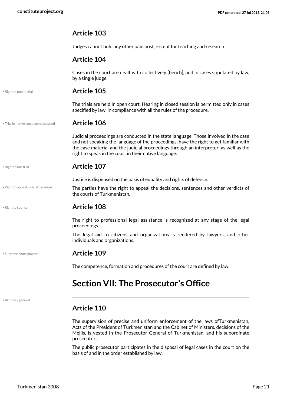Judges cannot hold any other paid post, except for teaching and research.

## **Article 104**

Cases in the court are dealt with collectively [bench], and in cases stipulated by law, by a single judge.

<span id="page-20-5"></span>• Right to public trial **Article 105**

The trials are held in open court. Hearing in closed session is permitted only in cases specified by law, in compliance with all the rules of the procedure.

• Trial in native language of accused **Article 106**

<span id="page-20-7"></span>Judicial proceedings are conducted in the state language. Those involved in the case and not speaking the language of the proceedings, have the right to get familiar with the case material and the judicial proceedings through an interpreter, as well as the right to speak in the court in their native language.

### <span id="page-20-4"></span>• Right to fair trial **Article 107**

<span id="page-20-2"></span>Justice is dispensed on the basis of equality and rights of defence.

The parties have the right to appeal the decisions, sentences and other verdicts of the courts of Turkmenistan. • Right to appeal judicial decisions

## <span id="page-20-3"></span>• Right to counsel **Article 108**

The right to professional legal assistance is recognized at any stage of the legal proceedings.

The legal aid to citizens and organizations is rendered by lawyers, and other individuals and organizations.

## <span id="page-20-6"></span>• Supreme court powers **Article 109**

<span id="page-20-0"></span>The competence, formation and procedures of the court are defined by law.

## **Section VII: The Prosecutor's Office**

<span id="page-20-1"></span>• Attorney general

## **Article 110**

The supervision of precise and uniform enforcement of the laws ofTurkmenistan, Acts of the President of Turkmenistan and the Cabinet of Ministers, decisions of the Mejlis, is vested in the Prosecutor General of Turkmenistan, and his subordinate prosecutors.

The public prosecutor participates in the disposal of legal cases in the court on the basis of and in the order established by law.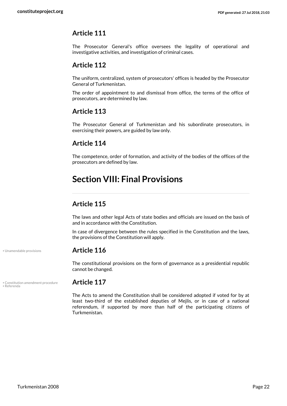The Prosecutor General's office oversees the legality of operational and investigative activities, and investigation of criminal cases.

## **Article 112**

The uniform, centralized, system of prosecutors' offices is headed by the Prosecutor General of Turkmenistan.

The order of appointment to and dismissal from office, the terms of the office of prosecutors, are determined by law.

## **Article 113**

The Prosecutor General of Turkmenistan and his subordinate prosecutors, in exercising their powers, are guided by law only.

## **Article 114**

The competence, order of formation, and activity of the bodies of the offices of the prosecutors are defined by law.

## <span id="page-21-0"></span>**Section VIII: Final Provisions**

## **Article 115**

The laws and other legal Acts of state bodies and officials are issued on the basis of and in accordance with the Constitution.

In case of divergence between the rules specified in the Constitution and the laws, the provisions of the Constitution will apply.

## • Unamendable provisions **Article 116**

<span id="page-21-3"></span>The constitutional provisions on the form of governance as a presidential republic cannot be changed.

<span id="page-21-2"></span>• Constitution amendment procedure **Article 117** • Referenda

<span id="page-21-1"></span>The Acts to amend the Constitution shall be considered adopted if voted for by at least two-third of the established deputies of Mejlis, or in case of a national referendum, if supported by more than half of the participating citizens of Turkmenistan.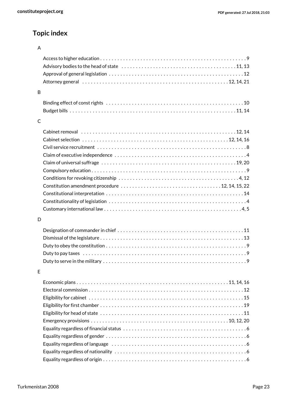## **Topic index**

### A

| B |  |
|---|--|
|   |  |
|   |  |
|   |  |
| C |  |
|   |  |
|   |  |
|   |  |
|   |  |
|   |  |
|   |  |
|   |  |
|   |  |
|   |  |
|   |  |
|   |  |
| D |  |
|   |  |
|   |  |
|   |  |
|   |  |
|   |  |
| E |  |
|   |  |
|   |  |
|   |  |
|   |  |
|   |  |
|   |  |
|   |  |
|   |  |
|   |  |
|   |  |
|   |  |

Equality regardless of origin . . . . . . . . . . . . . . . . . . . . . . . . . . . . . . . . . . . . . . . . . . . . . . . . . . [6](#page-5-5)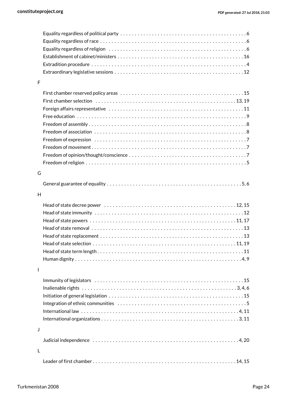| F |                                                                                                            |
|---|------------------------------------------------------------------------------------------------------------|
|   |                                                                                                            |
|   |                                                                                                            |
|   |                                                                                                            |
|   |                                                                                                            |
|   |                                                                                                            |
|   |                                                                                                            |
|   |                                                                                                            |
|   |                                                                                                            |
|   |                                                                                                            |
|   |                                                                                                            |
| G |                                                                                                            |
|   |                                                                                                            |
| H |                                                                                                            |
|   |                                                                                                            |
|   |                                                                                                            |
|   |                                                                                                            |
|   | Head of state powers $\dots\dots\dots\dots\dots\dots\dots\dots\dots\dots\dots\dots\dots\dots\dots\dots$    |
|   |                                                                                                            |
|   |                                                                                                            |
|   | Head of state selection $\dots\dots\dots\dots\dots\dots\dots\dots\dots\dots\dots\dots\dots\dots\dots\dots$ |
|   |                                                                                                            |
|   |                                                                                                            |
| I |                                                                                                            |
|   |                                                                                                            |
|   |                                                                                                            |
|   |                                                                                                            |
|   |                                                                                                            |
|   |                                                                                                            |
|   |                                                                                                            |
| J |                                                                                                            |
|   |                                                                                                            |
|   |                                                                                                            |
| L |                                                                                                            |
|   |                                                                                                            |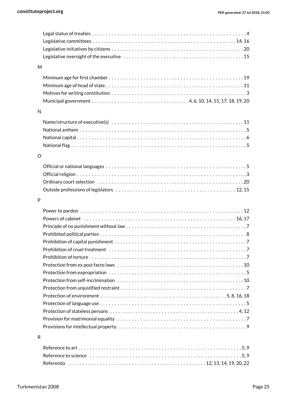| M |                                                                                                               |
|---|---------------------------------------------------------------------------------------------------------------|
|   |                                                                                                               |
|   |                                                                                                               |
|   |                                                                                                               |
|   |                                                                                                               |
| N |                                                                                                               |
|   |                                                                                                               |
|   |                                                                                                               |
|   |                                                                                                               |
|   |                                                                                                               |
| O |                                                                                                               |
|   |                                                                                                               |
|   |                                                                                                               |
|   |                                                                                                               |
|   |                                                                                                               |
|   |                                                                                                               |
| P |                                                                                                               |
|   |                                                                                                               |
|   |                                                                                                               |
|   |                                                                                                               |
|   |                                                                                                               |
|   |                                                                                                               |
|   |                                                                                                               |
|   |                                                                                                               |
|   |                                                                                                               |
|   |                                                                                                               |
|   |                                                                                                               |
|   |                                                                                                               |
|   |                                                                                                               |
|   |                                                                                                               |
|   | Protection of stateless persons $\dots\dots\dots\dots\dots\dots\dots\dots\dots\dots\dots\dots\dots\dots\dots$ |
|   |                                                                                                               |
|   |                                                                                                               |
| R |                                                                                                               |
|   |                                                                                                               |
|   |                                                                                                               |
|   |                                                                                                               |

Referenda . . . . . . . . . . . . . . . . . . . . . . . . . . . . . . . . . . . . . . . . . . . . . . . . [12](#page-11-14), [13,](#page-12-6) [14](#page-13-10), [19,](#page-18-7) [20,](#page-19-7) [22](#page-21-2)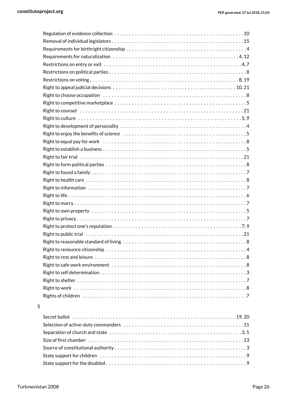### S